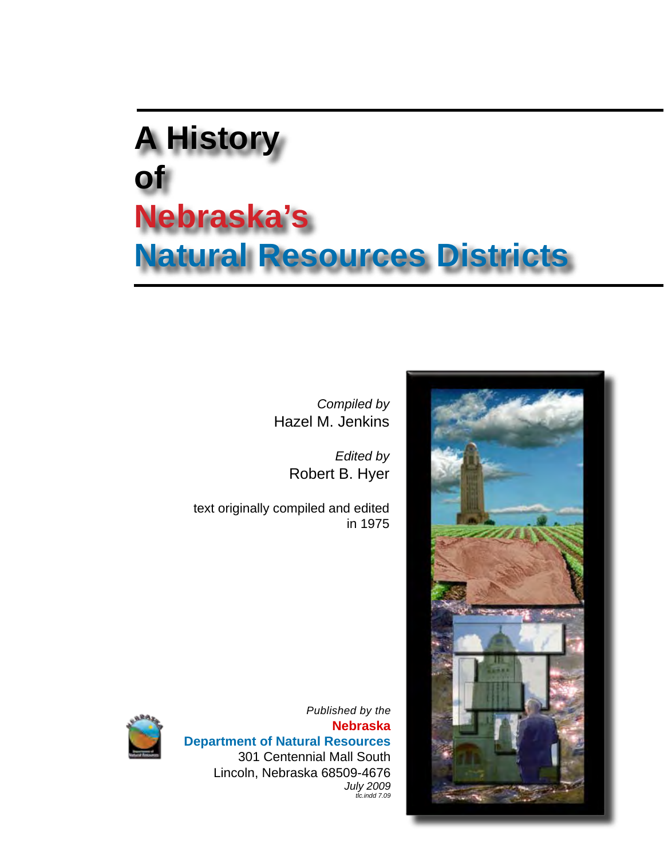# **A History of Nebraska's Natural Resources Districts**

*Compiled by* Hazel M. Jenkins

> *Edited by* Robert B. Hyer

text originally compiled and edited in 1975





*Published by the*  **Nebraska Department of Natural Resources** 301 Centennial Mall South Lincoln, Nebraska 68509-4676 *July 2009 tlc.indd 7.09*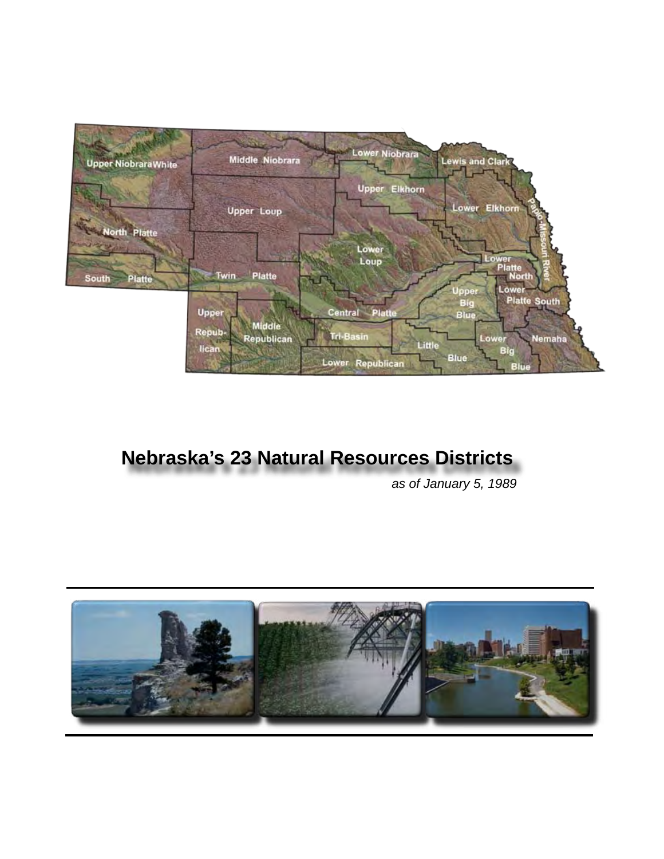

## **Nebraska's 23 Natural Resources Districts**

*as of January 5, 1989*

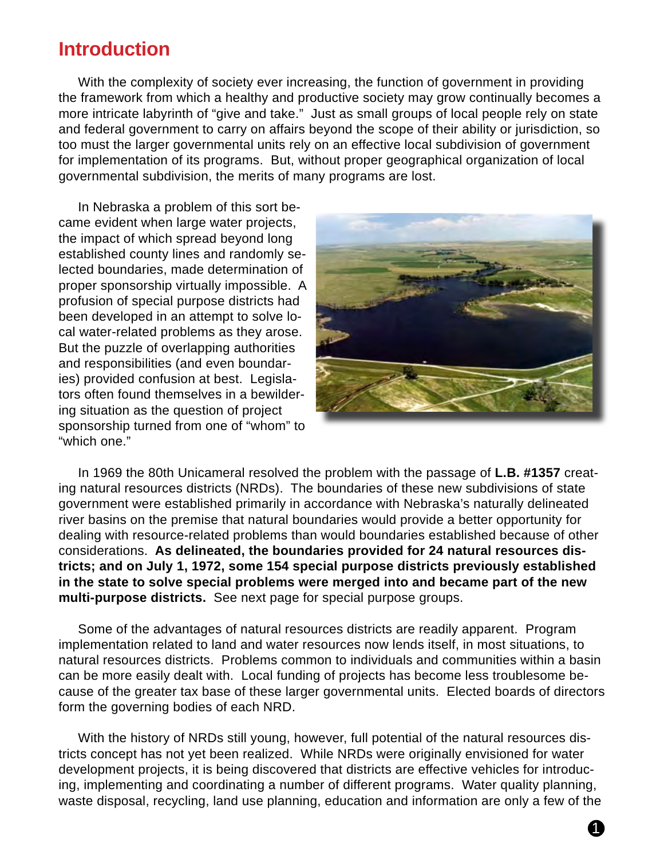#### **Introduction**

With the complexity of society ever increasing, the function of government in providing the framework from which a healthy and productive society may grow continually becomes a more intricate labyrinth of "give and take." Just as small groups of local people rely on state and federal government to carry on affairs beyond the scope of their ability or jurisdiction, so too must the larger governmental units rely on an effective local subdivision of government for implementation of its programs. But, without proper geographical organization of local governmental subdivision, the merits of many programs are lost.

In Nebraska a problem of this sort became evident when large water projects, the impact of which spread beyond long established county lines and randomly selected boundaries, made determination of proper sponsorship virtually impossible. A profusion of special purpose districts had been developed in an attempt to solve local water-related problems as they arose. But the puzzle of overlapping authorities and responsibilities (and even boundaries) provided confusion at best. Legislators often found themselves in a bewildering situation as the question of project sponsorship turned from one of "whom" to "which one."



In 1969 the 80th Unicameral resolved the problem with the passage of **L.B. #1357** creating natural resources districts (NRDs). The boundaries of these new subdivisions of state government were established primarily in accordance with Nebraska's naturally delineated river basins on the premise that natural boundaries would provide a better opportunity for dealing with resource-related problems than would boundaries established because of other considerations. **As delineated, the boundaries provided for 24 natural resources districts; and on July 1, 1972, some 154 special purpose districts previously established in the state to solve special problems were merged into and became part of the new multi-purpose districts.** See next page for special purpose groups.

Some of the advantages of natural resources districts are readily apparent. Program implementation related to land and water resources now lends itself, in most situations, to natural resources districts. Problems common to individuals and communities within a basin can be more easily dealt with. Local funding of projects has become less troublesome because of the greater tax base of these larger governmental units. Elected boards of directors form the governing bodies of each NRD.

With the history of NRDs still young, however, full potential of the natural resources districts concept has not yet been realized. While NRDs were originally envisioned for water development projects, it is being discovered that districts are effective vehicles for introducing, implementing and coordinating a number of different programs. Water quality planning, waste disposal, recycling, land use planning, education and information are only a few of the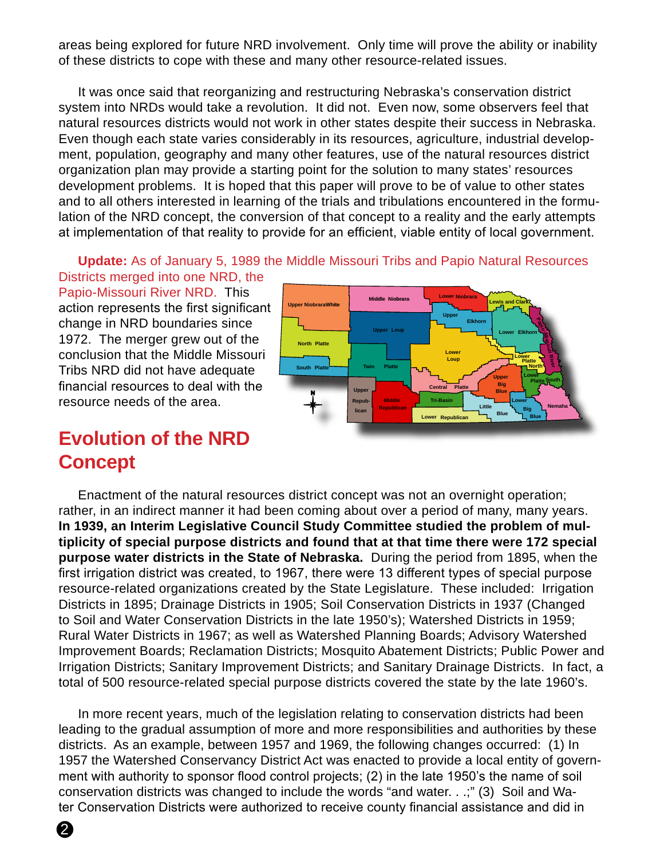areas being explored for future NRD involvement. Only time will prove the ability or inability of these districts to cope with these and many other resource-related issues.

It was once said that reorganizing and restructuring Nebraska's conservation district system into NRDs would take a revolution. It did not. Even now, some observers feel that natural resources districts would not work in other states despite their success in Nebraska. Even though each state varies considerably in its resources, agriculture, industrial development, population, geography and many other features, use of the natural resources district organization plan may provide a starting point for the solution to many states' resources development problems. It is hoped that this paper will prove to be of value to other states and to all others interested in learning of the trials and tribulations encountered in the formulation of the NRD concept, the conversion of that concept to a reality and the early attempts at implementation of that reality to provide for an efficient, viable entity of local government.

**Update:** As of January 5, 1989 the Middle Missouri Tribs and Papio Natural Resources Districts merged into one NRD, the

Papio-Missouri River NRD. This action represents the first significant change in NRD boundaries since 1972. The merger grew out of the conclusion that the Middle Missouri Tribs NRD did not have adequate financial resources to deal with the resource needs of the area.



#### **Evolution of the NRD Concept**

Enactment of the natural resources district concept was not an overnight operation; rather, in an indirect manner it had been coming about over a period of many, many years. **In 1939, an Interim Legislative Council Study Committee studied the problem of multiplicity of special purpose districts and found that at that time there were 172 special purpose water districts in the State of Nebraska.** During the period from 1895, when the first irrigation district was created, to 1967, there were 13 different types of special purpose resource-related organizations created by the State Legislature. These included: Irrigation Districts in 1895; Drainage Districts in 1905; Soil Conservation Districts in 1937 (Changed to Soil and Water Conservation Districts in the late 1950's); Watershed Districts in 1959; Rural Water Districts in 1967; as well as Watershed Planning Boards; Advisory Watershed Improvement Boards; Reclamation Districts; Mosquito Abatement Districts; Public Power and Irrigation Districts; Sanitary Improvement Districts; and Sanitary Drainage Districts. In fact, a total of 500 resource-related special purpose districts covered the state by the late 1960's.

In more recent years, much of the legislation relating to conservation districts had been leading to the gradual assumption of more and more responsibilities and authorities by these districts. As an example, between 1957 and 1969, the following changes occurred: (1) In 1957 the Watershed Conservancy District Act was enacted to provide a local entity of government with authority to sponsor flood control projects; (2) in the late 1950's the name of soil conservation districts was changed to include the words "and water. . .;" (3) Soil and Water Conservation Districts were authorized to receive county financial assistance and did in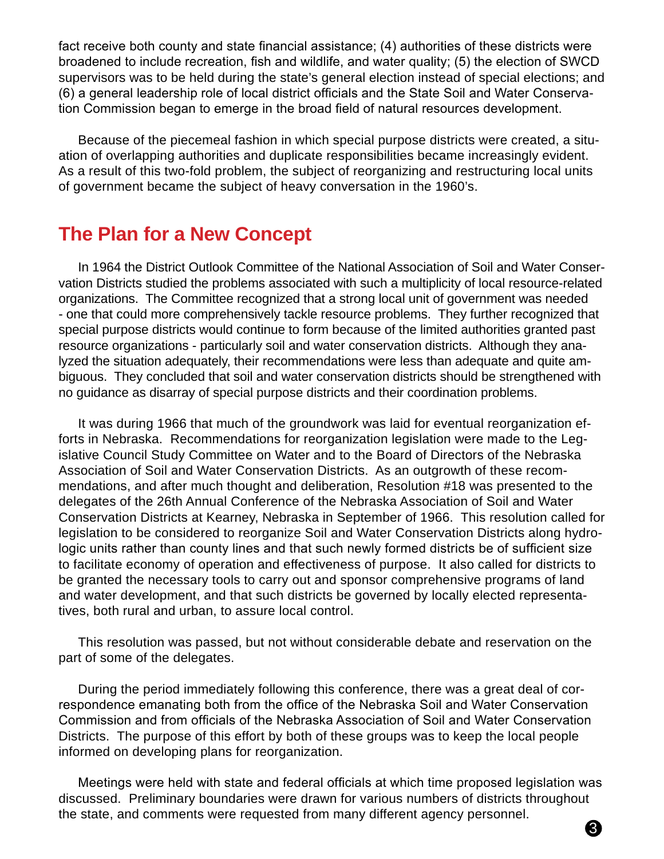fact receive both county and state financial assistance; (4) authorities of these districts were broadened to include recreation, fish and wildlife, and water quality; (5) the election of SWCD supervisors was to be held during the state's general election instead of special elections; and (6) a general leadership role of local district officials and the State Soil and Water Conservation Commission began to emerge in the broad field of natural resources development.

Because of the piecemeal fashion in which special purpose districts were created, a situation of overlapping authorities and duplicate responsibilities became increasingly evident. As a result of this two-fold problem, the subject of reorganizing and restructuring local units of government became the subject of heavy conversation in the 1960's.

#### **The Plan for a New Concept**

In 1964 the District Outlook Committee of the National Association of Soil and Water Conservation Districts studied the problems associated with such a multiplicity of local resource-related organizations. The Committee recognized that a strong local unit of government was needed - one that could more comprehensively tackle resource problems. They further recognized that special purpose districts would continue to form because of the limited authorities granted past resource organizations - particularly soil and water conservation districts. Although they analyzed the situation adequately, their recommendations were less than adequate and quite ambiguous. They concluded that soil and water conservation districts should be strengthened with no guidance as disarray of special purpose districts and their coordination problems.

It was during 1966 that much of the groundwork was laid for eventual reorganization efforts in Nebraska. Recommendations for reorganization legislation were made to the Legislative Council Study Committee on Water and to the Board of Directors of the Nebraska Association of Soil and Water Conservation Districts. As an outgrowth of these recommendations, and after much thought and deliberation, Resolution #18 was presented to the delegates of the 26th Annual Conference of the Nebraska Association of Soil and Water Conservation Districts at Kearney, Nebraska in September of 1966. This resolution called for legislation to be considered to reorganize Soil and Water Conservation Districts along hydrologic units rather than county lines and that such newly formed districts be of sufficient size to facilitate economy of operation and effectiveness of purpose. It also called for districts to be granted the necessary tools to carry out and sponsor comprehensive programs of land and water development, and that such districts be governed by locally elected representatives, both rural and urban, to assure local control.

This resolution was passed, but not without considerable debate and reservation on the part of some of the delegates.

During the period immediately following this conference, there was a great deal of correspondence emanating both from the office of the Nebraska Soil and Water Conservation Commission and from officials of the Nebraska Association of Soil and Water Conservation Districts. The purpose of this effort by both of these groups was to keep the local people informed on developing plans for reorganization.

Meetings were held with state and federal officials at which time proposed legislation was discussed. Preliminary boundaries were drawn for various numbers of districts throughout the state, and comments were requested from many different agency personnel.

3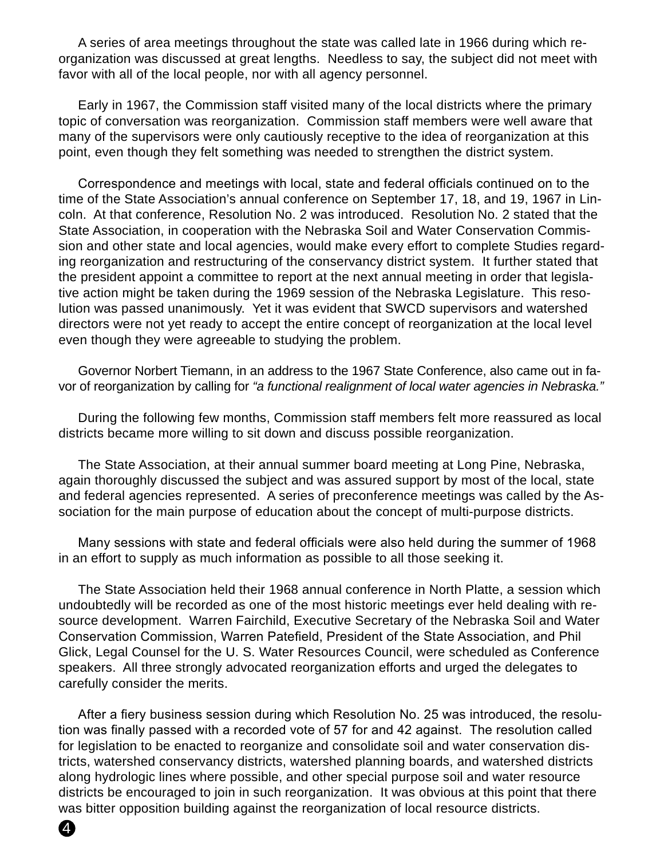A series of area meetings throughout the state was called late in 1966 during which reorganization was discussed at great lengths. Needless to say, the subject did not meet with favor with all of the local people, nor with all agency personnel.

Early in 1967, the Commission staff visited many of the local districts where the primary topic of conversation was reorganization. Commission staff members were well aware that many of the supervisors were only cautiously receptive to the idea of reorganization at this point, even though they felt something was needed to strengthen the district system.

Correspondence and meetings with local, state and federal officials continued on to the time of the State Association's annual conference on September 17, 18, and 19, 1967 in Lincoln. At that conference, Resolution No. 2 was introduced. Resolution No. 2 stated that the State Association, in cooperation with the Nebraska Soil and Water Conservation Commission and other state and local agencies, would make every effort to complete Studies regarding reorganization and restructuring of the conservancy district system. It further stated that the president appoint a committee to report at the next annual meeting in order that legislative action might be taken during the 1969 session of the Nebraska Legislature. This resolution was passed unanimously. Yet it was evident that SWCD supervisors and watershed directors were not yet ready to accept the entire concept of reorganization at the local level even though they were agreeable to studying the problem.

Governor Norbert Tiemann, in an address to the 1967 State Conference, also came out in favor of reorganization by calling for *"a functional realignment of local water agencies in Nebraska."*

During the following few months, Commission staff members felt more reassured as local districts became more willing to sit down and discuss possible reorganization.

The State Association, at their annual summer board meeting at Long Pine, Nebraska, again thoroughly discussed the subject and was assured support by most of the local, state and federal agencies represented. A series of preconference meetings was called by the Association for the main purpose of education about the concept of multi-purpose districts.

Many sessions with state and federal officials were also held during the summer of 1968 in an effort to supply as much information as possible to all those seeking it.

The State Association held their 1968 annual conference in North Platte, a session which undoubtedly will be recorded as one of the most historic meetings ever held dealing with resource development. Warren Fairchild, Executive Secretary of the Nebraska Soil and Water Conservation Commission, Warren Patefield, President of the State Association, and Phil Glick, Legal Counsel for the U. S. Water Resources Council, were scheduled as Conference speakers. All three strongly advocated reorganization efforts and urged the delegates to carefully consider the merits.

After a fiery business session during which Resolution No. 25 was introduced, the resolution was finally passed with a recorded vote of 57 for and 42 against. The resolution called for legislation to be enacted to reorganize and consolidate soil and water conservation districts, watershed conservancy districts, watershed planning boards, and watershed districts along hydrologic lines where possible, and other special purpose soil and water resource districts be encouraged to join in such reorganization. It was obvious at this point that there was bitter opposition building against the reorganization of local resource districts.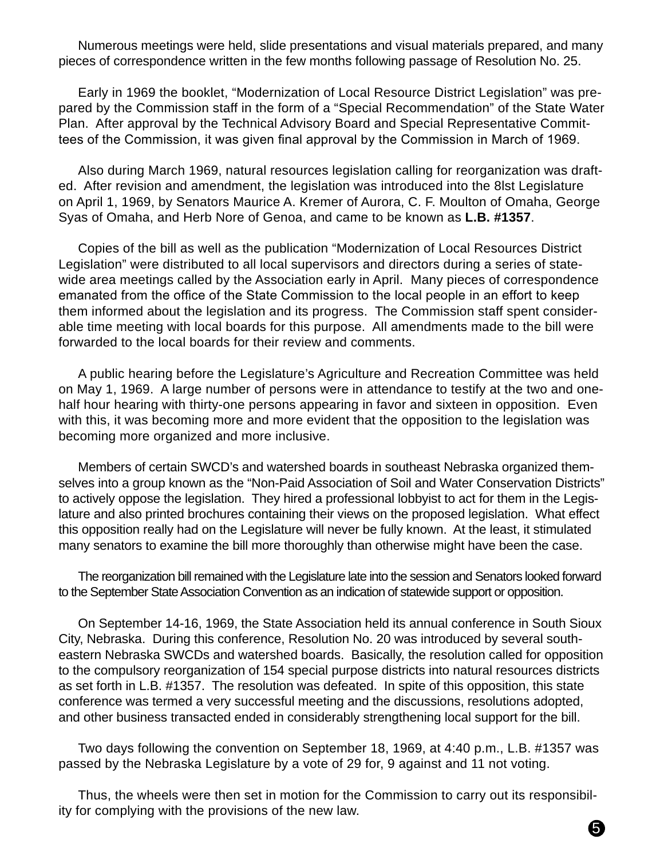Numerous meetings were held, slide presentations and visual materials prepared, and many pieces of correspondence written in the few months following passage of Resolution No. 25.

Early in 1969 the booklet, "Modernization of Local Resource District Legislation" was prepared by the Commission staff in the form of a "Special Recommendation" of the State Water Plan. After approval by the Technical Advisory Board and Special Representative Committees of the Commission, it was given final approval by the Commission in March of 1969.

Also during March 1969, natural resources legislation calling for reorganization was drafted. After revision and amendment, the legislation was introduced into the 8lst Legislature on April 1, 1969, by Senators Maurice A. Kremer of Aurora, C. F. Moulton of Omaha, George Syas of Omaha, and Herb Nore of Genoa, and came to be known as **L.B. #1357**.

Copies of the bill as well as the publication "Modernization of Local Resources District Legislation" were distributed to all local supervisors and directors during a series of statewide area meetings called by the Association early in April. Many pieces of correspondence emanated from the office of the State Commission to the local people in an effort to keep them informed about the legislation and its progress. The Commission staff spent considerable time meeting with local boards for this purpose. All amendments made to the bill were forwarded to the local boards for their review and comments.

A public hearing before the Legislature's Agriculture and Recreation Committee was held on May 1, 1969. A large number of persons were in attendance to testify at the two and onehalf hour hearing with thirty-one persons appearing in favor and sixteen in opposition. Even with this, it was becoming more and more evident that the opposition to the legislation was becoming more organized and more inclusive.

Members of certain SWCD's and watershed boards in southeast Nebraska organized themselves into a group known as the "Non-Paid Association of Soil and Water Conservation Districts" to actively oppose the legislation. They hired a professional lobbyist to act for them in the Legislature and also printed brochures containing their views on the proposed legislation. What effect this opposition really had on the Legislature will never be fully known. At the least, it stimulated many senators to examine the bill more thoroughly than otherwise might have been the case.

The reorganization bill remained with the Legislature late into the session and Senators looked forward to the September State Association Convention as an indication of statewide support or opposition.

On September 14-16, 1969, the State Association held its annual conference in South Sioux City, Nebraska. During this conference, Resolution No. 20 was introduced by several southeastern Nebraska SWCDs and watershed boards. Basically, the resolution called for opposition to the compulsory reorganization of 154 special purpose districts into natural resources districts as set forth in L.B. #1357. The resolution was defeated. In spite of this opposition, this state conference was termed a very successful meeting and the discussions, resolutions adopted, and other business transacted ended in considerably strengthening local support for the bill.

Two days following the convention on September 18, 1969, at 4:40 p.m., L.B. #1357 was passed by the Nebraska Legislature by a vote of 29 for, 9 against and 11 not voting.

Thus, the wheels were then set in motion for the Commission to carry out its responsibility for complying with the provisions of the new law.

5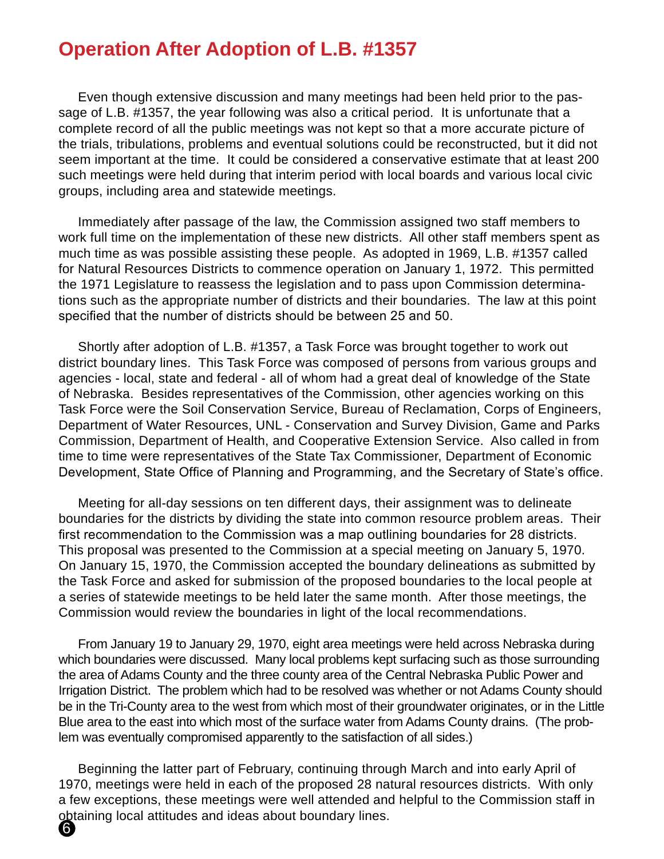#### **Operation After Adoption of L.B. #1357**

Even though extensive discussion and many meetings had been held prior to the passage of L.B. #1357, the year following was also a critical period. It is unfortunate that a complete record of all the public meetings was not kept so that a more accurate picture of the trials, tribulations, problems and eventual solutions could be reconstructed, but it did not seem important at the time. It could be considered a conservative estimate that at least 200 such meetings were held during that interim period with local boards and various local civic groups, including area and statewide meetings.

Immediately after passage of the law, the Commission assigned two staff members to work full time on the implementation of these new districts. All other staff members spent as much time as was possible assisting these people. As adopted in 1969, L.B. #1357 called for Natural Resources Districts to commence operation on January 1, 1972. This permitted the 1971 Legislature to reassess the legislation and to pass upon Commission determinations such as the appropriate number of districts and their boundaries. The law at this point specified that the number of districts should be between 25 and 50.

Shortly after adoption of L.B. #1357, a Task Force was brought together to work out district boundary lines. This Task Force was composed of persons from various groups and agencies - local, state and federal - all of whom had a great deal of knowledge of the State of Nebraska. Besides representatives of the Commission, other agencies working on this Task Force were the Soil Conservation Service, Bureau of Reclamation, Corps of Engineers, Department of Water Resources, UNL - Conservation and Survey Division, Game and Parks Commission, Department of Health, and Cooperative Extension Service. Also called in from time to time were representatives of the State Tax Commissioner, Department of Economic Development, State Office of Planning and Programming, and the Secretary of State's office.

Meeting for all-day sessions on ten different days, their assignment was to delineate boundaries for the districts by dividing the state into common resource problem areas. Their first recommendation to the Commission was a map outlining boundaries for 28 districts. This proposal was presented to the Commission at a special meeting on January 5, 1970. On January 15, 1970, the Commission accepted the boundary delineations as submitted by the Task Force and asked for submission of the proposed boundaries to the local people at a series of statewide meetings to be held later the same month. After those meetings, the Commission would review the boundaries in light of the local recommendations.

From January 19 to January 29, 1970, eight area meetings were held across Nebraska during which boundaries were discussed. Many local problems kept surfacing such as those surrounding the area of Adams County and the three county area of the Central Nebraska Public Power and Irrigation District. The problem which had to be resolved was whether or not Adams County should be in the Tri-County area to the west from which most of their groundwater originates, or in the Little Blue area to the east into which most of the surface water from Adams County drains. (The problem was eventually compromised apparently to the satisfaction of all sides.)

Beginning the latter part of February, continuing through March and into early April of 1970, meetings were held in each of the proposed 28 natural resources districts. With only a few exceptions, these meetings were well attended and helpful to the Commission staff in obtaining local attitudes and ideas about boundary lines. 6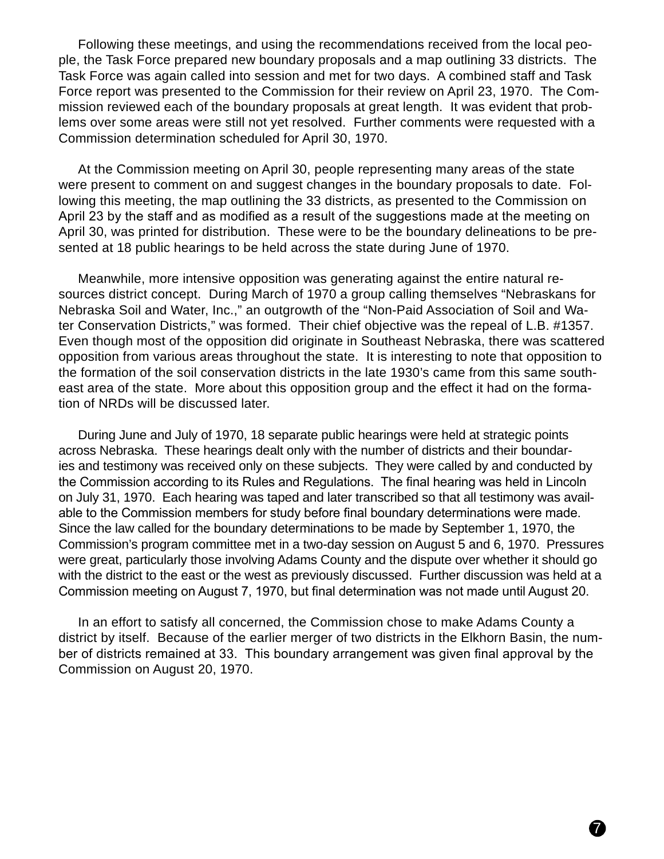Following these meetings, and using the recommendations received from the local people, the Task Force prepared new boundary proposals and a map outlining 33 districts. The Task Force was again called into session and met for two days. A combined staff and Task Force report was presented to the Commission for their review on April 23, 1970. The Commission reviewed each of the boundary proposals at great length. It was evident that problems over some areas were still not yet resolved. Further comments were requested with a Commission determination scheduled for April 30, 1970.

At the Commission meeting on April 30, people representing many areas of the state were present to comment on and suggest changes in the boundary proposals to date. Following this meeting, the map outlining the 33 districts, as presented to the Commission on April 23 by the staff and as modified as a result of the suggestions made at the meeting on April 30, was printed for distribution. These were to be the boundary delineations to be presented at 18 public hearings to be held across the state during June of 1970.

Meanwhile, more intensive opposition was generating against the entire natural resources district concept. During March of 1970 a group calling themselves "Nebraskans for Nebraska Soil and Water, Inc.," an outgrowth of the "Non-Paid Association of Soil and Water Conservation Districts," was formed. Their chief objective was the repeal of L.B. #1357. Even though most of the opposition did originate in Southeast Nebraska, there was scattered opposition from various areas throughout the state. It is interesting to note that opposition to the formation of the soil conservation districts in the late 1930's came from this same southeast area of the state. More about this opposition group and the effect it had on the formation of NRDs will be discussed later.

During June and July of 1970, 18 separate public hearings were held at strategic points across Nebraska. These hearings dealt only with the number of districts and their boundaries and testimony was received only on these subjects. They were called by and conducted by the Commission according to its Rules and Regulations. The final hearing was held in Lincoln on July 31, 1970. Each hearing was taped and later transcribed so that all testimony was available to the Commission members for study before final boundary determinations were made. Since the law called for the boundary determinations to be made by September 1, 1970, the Commission's program committee met in a two-day session on August 5 and 6, 1970. Pressures were great, particularly those involving Adams County and the dispute over whether it should go with the district to the east or the west as previously discussed. Further discussion was held at a Commission meeting on August 7, 1970, but final determination was not made until August 20.

In an effort to satisfy all concerned, the Commission chose to make Adams County a district by itself. Because of the earlier merger of two districts in the Elkhorn Basin, the number of districts remained at 33. This boundary arrangement was given final approval by the Commission on August 20, 1970.

7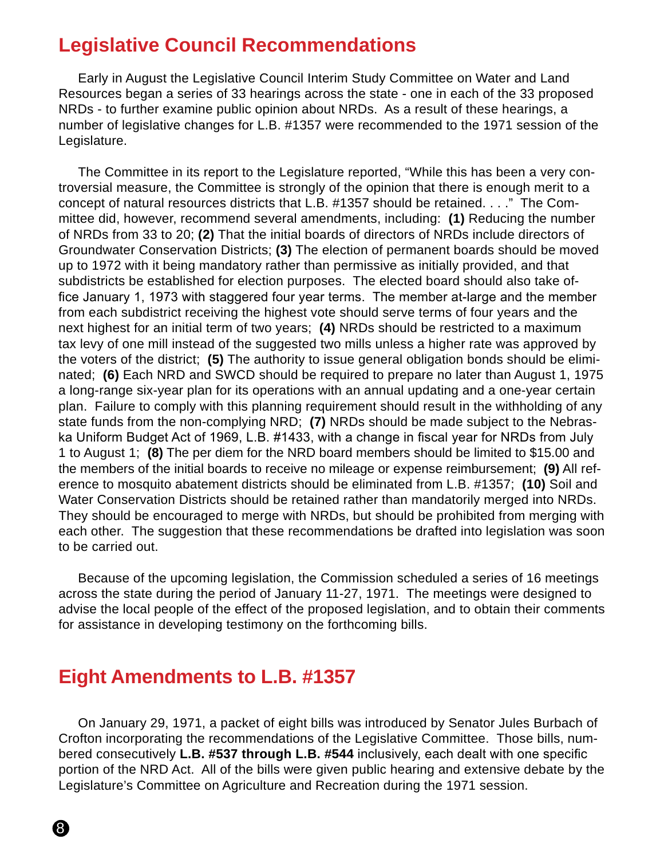#### **Legislative Council Recommendations**

Early in August the Legislative Council Interim Study Committee on Water and Land Resources began a series of 33 hearings across the state - one in each of the 33 proposed NRDs - to further examine public opinion about NRDs. As a result of these hearings, a number of legislative changes for L.B. #1357 were recommended to the 1971 session of the Legislature.

The Committee in its report to the Legislature reported, "While this has been a very controversial measure, the Committee is strongly of the opinion that there is enough merit to a concept of natural resources districts that L.B. #1357 should be retained. . . ." The Committee did, however, recommend several amendments, including: **(1)** Reducing the number of NRDs from 33 to 20; **(2)** That the initial boards of directors of NRDs include directors of Groundwater Conservation Districts; **(3)** The election of permanent boards should be moved up to 1972 with it being mandatory rather than permissive as initially provided, and that subdistricts be established for election purposes. The elected board should also take office January 1, 1973 with staggered four year terms. The member at-large and the member from each subdistrict receiving the highest vote should serve terms of four years and the next highest for an initial term of two years; **(4)** NRDs should be restricted to a maximum tax levy of one mill instead of the suggested two mills unless a higher rate was approved by the voters of the district; **(5)** The authority to issue general obligation bonds should be eliminated; **(6)** Each NRD and SWCD should be required to prepare no later than August 1, 1975 a long-range six-year plan for its operations with an annual updating and a one-year certain plan. Failure to comply with this planning requirement should result in the withholding of any state funds from the non-complying NRD; **(7)** NRDs should be made subject to the Nebraska Uniform Budget Act of 1969, L.B. #1433, with a change in fiscal year for NRDs from July 1 to August 1; **(8)** The per diem for the NRD board members should be limited to \$15.00 and the members of the initial boards to receive no mileage or expense reimbursement; **(9)** All reference to mosquito abatement districts should be eliminated from L.B. #1357; **(10)** Soil and Water Conservation Districts should be retained rather than mandatorily merged into NRDs. They should be encouraged to merge with NRDs, but should be prohibited from merging with each other. The suggestion that these recommendations be drafted into legislation was soon to be carried out.

Because of the upcoming legislation, the Commission scheduled a series of 16 meetings across the state during the period of January 11-27, 1971. The meetings were designed to advise the local people of the effect of the proposed legislation, and to obtain their comments for assistance in developing testimony on the forthcoming bills.

#### **Eight Amendments to L.B. #1357**

On January 29, 1971, a packet of eight bills was introduced by Senator Jules Burbach of Crofton incorporating the recommendations of the Legislative Committee. Those bills, numbered consecutively **L.B. #537 through L.B. #544** inclusively, each dealt with one specific portion of the NRD Act. All of the bills were given public hearing and extensive debate by the Legislature's Committee on Agriculture and Recreation during the 1971 session.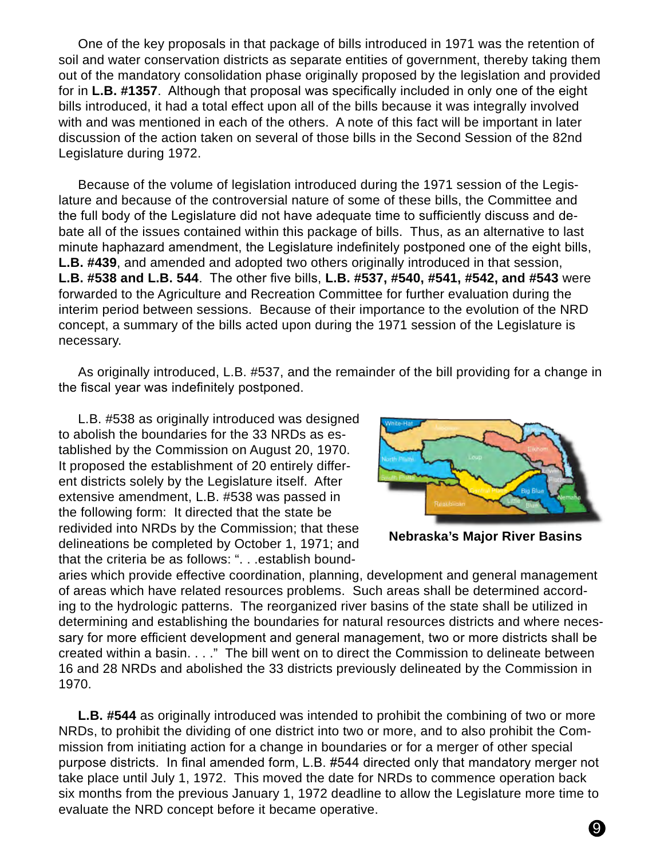One of the key proposals in that package of bills introduced in 1971 was the retention of soil and water conservation districts as separate entities of government, thereby taking them out of the mandatory consolidation phase originally proposed by the legislation and provided for in **L.B. #1357**. Although that proposal was specifically included in only one of the eight bills introduced, it had a total effect upon all of the bills because it was integrally involved with and was mentioned in each of the others. A note of this fact will be important in later discussion of the action taken on several of those bills in the Second Session of the 82nd Legislature during 1972.

Because of the volume of legislation introduced during the 1971 session of the Legislature and because of the controversial nature of some of these bills, the Committee and the full body of the Legislature did not have adequate time to sufficiently discuss and debate all of the issues contained within this package of bills. Thus, as an alternative to last minute haphazard amendment, the Legislature indefinitely postponed one of the eight bills, **L.B. #439**, and amended and adopted two others originally introduced in that session, **L.B. #538 and L.B. 544**. The other five bills, **L.B. #537, #540, #541, #542, and #543** were forwarded to the Agriculture and Recreation Committee for further evaluation during the interim period between sessions. Because of their importance to the evolution of the NRD concept, a summary of the bills acted upon during the 1971 session of the Legislature is necessary.

As originally introduced, L.B. #537, and the remainder of the bill providing for a change in the fiscal year was indefinitely postponed.

L.B. #538 as originally introduced was designed to abolish the boundaries for the 33 NRDs as established by the Commission on August 20, 1970. It proposed the establishment of 20 entirely different districts solely by the Legislature itself. After extensive amendment, L.B. #538 was passed in the following form: It directed that the state be redivided into NRDs by the Commission; that these delineations be completed by October 1, 1971; and that the criteria be as follows: ". . .establish bound-



**Nebraska's Major River Basins**

aries which provide effective coordination, planning, development and general management of areas which have related resources problems. Such areas shall be determined according to the hydrologic patterns. The reorganized river basins of the state shall be utilized in determining and establishing the boundaries for natural resources districts and where necessary for more efficient development and general management, two or more districts shall be created within a basin. . . ." The bill went on to direct the Commission to delineate between 16 and 28 NRDs and abolished the 33 districts previously delineated by the Commission in 1970.

**L.B. #544** as originally introduced was intended to prohibit the combining of two or more NRDs, to prohibit the dividing of one district into two or more, and to also prohibit the Commission from initiating action for a change in boundaries or for a merger of other special purpose districts. In final amended form, L.B. #544 directed only that mandatory merger not take place until July 1, 1972. This moved the date for NRDs to commence operation back six months from the previous January 1, 1972 deadline to allow the Legislature more time to evaluate the NRD concept before it became operative.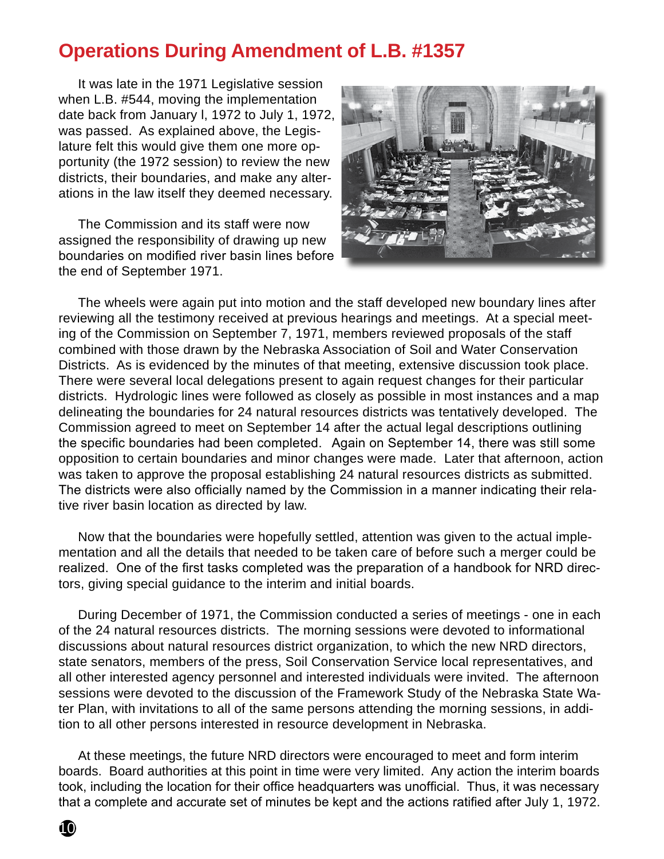#### **Operations During Amendment of L.B. #1357**

It was late in the 1971 Legislative session when L.B. #544, moving the implementation date back from January l, 1972 to July 1, 1972, was passed. As explained above, the Legislature felt this would give them one more opportunity (the 1972 session) to review the new districts, their boundaries, and make any alterations in the law itself they deemed necessary.

The Commission and its staff were now assigned the responsibility of drawing up new boundaries on modified river basin lines before the end of September 1971.



The wheels were again put into motion and the staff developed new boundary lines after reviewing all the testimony received at previous hearings and meetings. At a special meeting of the Commission on September 7, 1971, members reviewed proposals of the staff combined with those drawn by the Nebraska Association of Soil and Water Conservation Districts. As is evidenced by the minutes of that meeting, extensive discussion took place. There were several local delegations present to again request changes for their particular districts. Hydrologic lines were followed as closely as possible in most instances and a map delineating the boundaries for 24 natural resources districts was tentatively developed. The Commission agreed to meet on September 14 after the actual legal descriptions outlining the specific boundaries had been completed. Again on September 14, there was still some opposition to certain boundaries and minor changes were made. Later that afternoon, action was taken to approve the proposal establishing 24 natural resources districts as submitted. The districts were also officially named by the Commission in a manner indicating their relative river basin location as directed by law.

Now that the boundaries were hopefully settled, attention was given to the actual implementation and all the details that needed to be taken care of before such a merger could be realized. One of the first tasks completed was the preparation of a handbook for NRD directors, giving special guidance to the interim and initial boards.

During December of 1971, the Commission conducted a series of meetings - one in each of the 24 natural resources districts. The morning sessions were devoted to informational discussions about natural resources district organization, to which the new NRD directors, state senators, members of the press, Soil Conservation Service local representatives, and all other interested agency personnel and interested individuals were invited. The afternoon sessions were devoted to the discussion of the Framework Study of the Nebraska State Water Plan, with invitations to all of the same persons attending the morning sessions, in addition to all other persons interested in resource development in Nebraska.

At these meetings, the future NRD directors were encouraged to meet and form interim boards. Board authorities at this point in time were very limited. Any action the interim boards took, including the location for their office headquarters was unofficial. Thus, it was necessary that a complete and accurate set of minutes be kept and the actions ratified after July 1, 1972.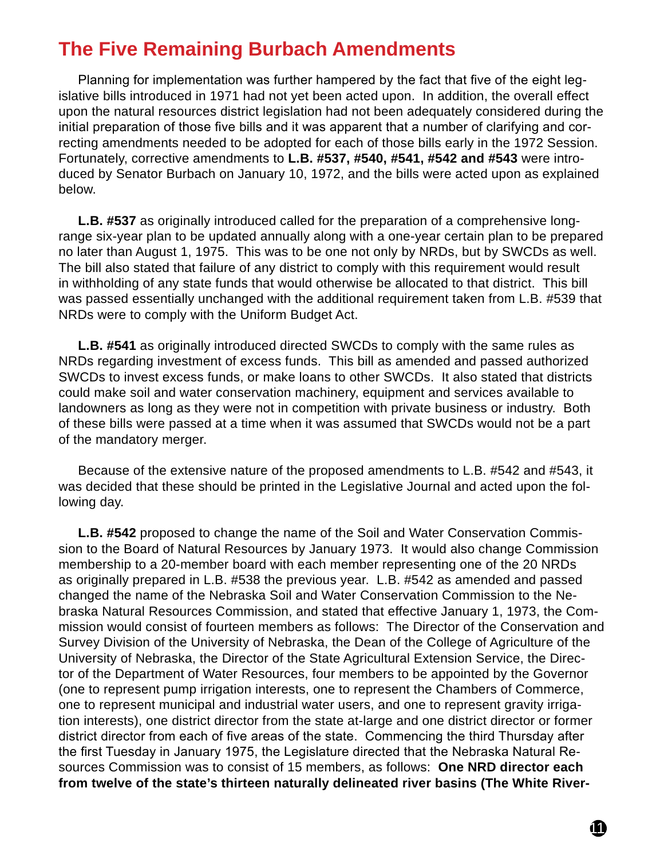#### **The Five Remaining Burbach Amendments**

Planning for implementation was further hampered by the fact that five of the eight legislative bills introduced in 1971 had not yet been acted upon. In addition, the overall effect upon the natural resources district legislation had not been adequately considered during the initial preparation of those five bills and it was apparent that a number of clarifying and correcting amendments needed to be adopted for each of those bills early in the 1972 Session. Fortunately, corrective amendments to **L.B. #537, #540, #541, #542 and #543** were introduced by Senator Burbach on January 10, 1972, and the bills were acted upon as explained below.

**L.B. #537** as originally introduced called for the preparation of a comprehensive longrange six-year plan to be updated annually along with a one-year certain plan to be prepared no later than August 1, 1975. This was to be one not only by NRDs, but by SWCDs as well. The bill also stated that failure of any district to comply with this requirement would result in withholding of any state funds that would otherwise be allocated to that district. This bill was passed essentially unchanged with the additional requirement taken from L.B. #539 that NRDs were to comply with the Uniform Budget Act.

**L.B. #541** as originally introduced directed SWCDs to comply with the same rules as NRDs regarding investment of excess funds. This bill as amended and passed authorized SWCDs to invest excess funds, or make loans to other SWCDs. It also stated that districts could make soil and water conservation machinery, equipment and services available to landowners as long as they were not in competition with private business or industry. Both of these bills were passed at a time when it was assumed that SWCDs would not be a part of the mandatory merger.

Because of the extensive nature of the proposed amendments to L.B. #542 and #543, it was decided that these should be printed in the Legislative Journal and acted upon the following day.

**L.B. #542** proposed to change the name of the Soil and Water Conservation Commission to the Board of Natural Resources by January 1973. It would also change Commission membership to a 20-member board with each member representing one of the 20 NRDs as originally prepared in L.B. #538 the previous year. L.B. #542 as amended and passed changed the name of the Nebraska Soil and Water Conservation Commission to the Nebraska Natural Resources Commission, and stated that effective January 1, 1973, the Commission would consist of fourteen members as follows: The Director of the Conservation and Survey Division of the University of Nebraska, the Dean of the College of Agriculture of the University of Nebraska, the Director of the State Agricultural Extension Service, the Director of the Department of Water Resources, four members to be appointed by the Governor (one to represent pump irrigation interests, one to represent the Chambers of Commerce, one to represent municipal and industrial water users, and one to represent gravity irrigation interests), one district director from the state at-large and one district director or former district director from each of five areas of the state. Commencing the third Thursday after the first Tuesday in January 1975, the Legislature directed that the Nebraska Natural Resources Commission was to consist of 15 members, as follows: **One NRD director each from twelve of the state's thirteen naturally delineated river basins (The White River-**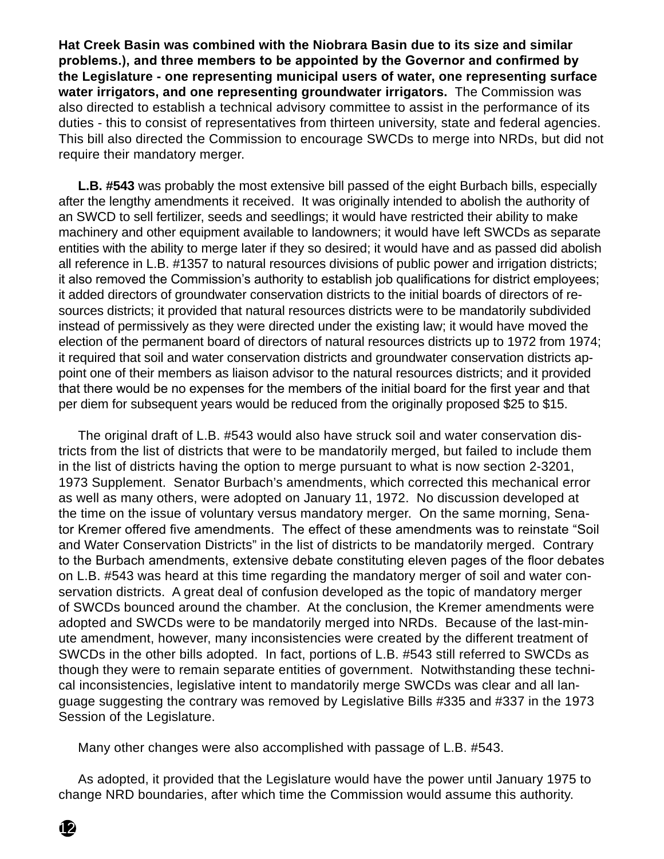**Hat Creek Basin was combined with the Niobrara Basin due to its size and similar problems.), and three members to be appointed by the Governor and confirmed by the Legislature - one representing municipal users of water, one representing surface water irrigators, and one representing groundwater irrigators.** The Commission was also directed to establish a technical advisory committee to assist in the performance of its duties - this to consist of representatives from thirteen university, state and federal agencies. This bill also directed the Commission to encourage SWCDs to merge into NRDs, but did not require their mandatory merger.

**L.B. #543** was probably the most extensive bill passed of the eight Burbach bills, especially after the lengthy amendments it received. It was originally intended to abolish the authority of an SWCD to sell fertilizer, seeds and seedlings; it would have restricted their ability to make machinery and other equipment available to landowners; it would have left SWCDs as separate entities with the ability to merge later if they so desired; it would have and as passed did abolish all reference in L.B. #1357 to natural resources divisions of public power and irrigation districts; it also removed the Commission's authority to establish job qualifications for district employees; it added directors of groundwater conservation districts to the initial boards of directors of resources districts; it provided that natural resources districts were to be mandatorily subdivided instead of permissively as they were directed under the existing law; it would have moved the election of the permanent board of directors of natural resources districts up to 1972 from 1974; it required that soil and water conservation districts and groundwater conservation districts appoint one of their members as liaison advisor to the natural resources districts; and it provided that there would be no expenses for the members of the initial board for the first year and that per diem for subsequent years would be reduced from the originally proposed \$25 to \$15.

The original draft of L.B. #543 would also have struck soil and water conservation districts from the list of districts that were to be mandatorily merged, but failed to include them in the list of districts having the option to merge pursuant to what is now section 2-3201, 1973 Supplement. Senator Burbach's amendments, which corrected this mechanical error as well as many others, were adopted on January 11, 1972. No discussion developed at the time on the issue of voluntary versus mandatory merger. On the same morning, Senator Kremer offered five amendments. The effect of these amendments was to reinstate "Soil and Water Conservation Districts" in the list of districts to be mandatorily merged. Contrary to the Burbach amendments, extensive debate constituting eleven pages of the floor debates on L.B. #543 was heard at this time regarding the mandatory merger of soil and water conservation districts. A great deal of confusion developed as the topic of mandatory merger of SWCDs bounced around the chamber. At the conclusion, the Kremer amendments were adopted and SWCDs were to be mandatorily merged into NRDs. Because of the last-minute amendment, however, many inconsistencies were created by the different treatment of SWCDs in the other bills adopted. In fact, portions of L.B. #543 still referred to SWCDs as though they were to remain separate entities of government. Notwithstanding these technical inconsistencies, legislative intent to mandatorily merge SWCDs was clear and all language suggesting the contrary was removed by Legislative Bills #335 and #337 in the 1973 Session of the Legislature.

Many other changes were also accomplished with passage of L.B. #543.

As adopted, it provided that the Legislature would have the power until January 1975 to change NRD boundaries, after which time the Commission would assume this authority.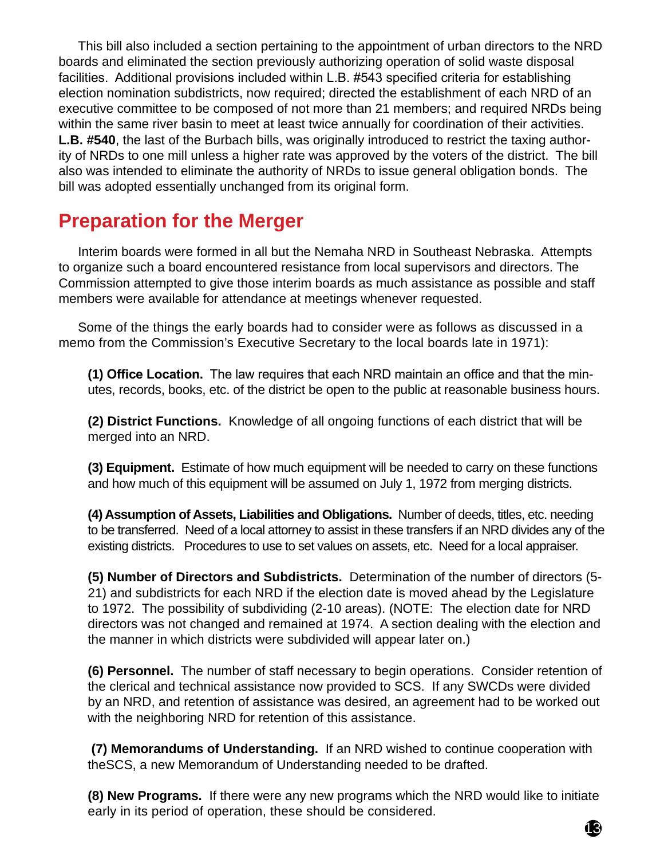This bill also included a section pertaining to the appointment of urban directors to the NRD boards and eliminated the section previously authorizing operation of solid waste disposal facilities. Additional provisions included within L.B. #543 specified criteria for establishing election nomination subdistricts, now required; directed the establishment of each NRD of an executive committee to be composed of not more than 21 members; and required NRDs being within the same river basin to meet at least twice annually for coordination of their activities. **L.B. #540**, the last of the Burbach bills, was originally introduced to restrict the taxing authority of NRDs to one mill unless a higher rate was approved by the voters of the district. The bill also was intended to eliminate the authority of NRDs to issue general obligation bonds. The bill was adopted essentially unchanged from its original form.

#### **Preparation for the Merger**

Interim boards were formed in all but the Nemaha NRD in Southeast Nebraska. Attempts to organize such a board encountered resistance from local supervisors and directors. The Commission attempted to give those interim boards as much assistance as possible and staff members were available for attendance at meetings whenever requested.

Some of the things the early boards had to consider were as follows as discussed in a memo from the Commission's Executive Secretary to the local boards late in 1971):

**(1) Office Location.** The law requires that each NRD maintain an office and that the minutes, records, books, etc. of the district be open to the public at reasonable business hours.

**(2) District Functions.** Knowledge of all ongoing functions of each district that will be merged into an NRD.

**(3) Equipment.** Estimate of how much equipment will be needed to carry on these functions and how much of this equipment will be assumed on July 1, 1972 from merging districts.

**(4) Assumption of Assets, Liabilities and Obligations.** Number of deeds, titles, etc. needing to be transferred. Need of a local attorney to assist in these transfers if an NRD divides any of the existing districts. Procedures to use to set values on assets, etc. Need for a local appraiser.

**(5) Number of Directors and Subdistricts.** Determination of the number of directors (5- 21) and subdistricts for each NRD if the election date is moved ahead by the Legislature to 1972. The possibility of subdividing (2-10 areas). (NOTE: The election date for NRD directors was not changed and remained at 1974. A section dealing with the election and the manner in which districts were subdivided will appear later on.)

**(6) Personnel.** The number of staff necessary to begin operations. Consider retention of the clerical and technical assistance now provided to SCS. If any SWCDs were divided by an NRD, and retention of assistance was desired, an agreement had to be worked out with the neighboring NRD for retention of this assistance.

 **(7) Memorandums of Understanding.** If an NRD wished to continue cooperation with theSCS, a new Memorandum of Understanding needed to be drafted.

**(8) New Programs.** If there were any new programs which the NRD would like to initiate early in its period of operation, these should be considered.

13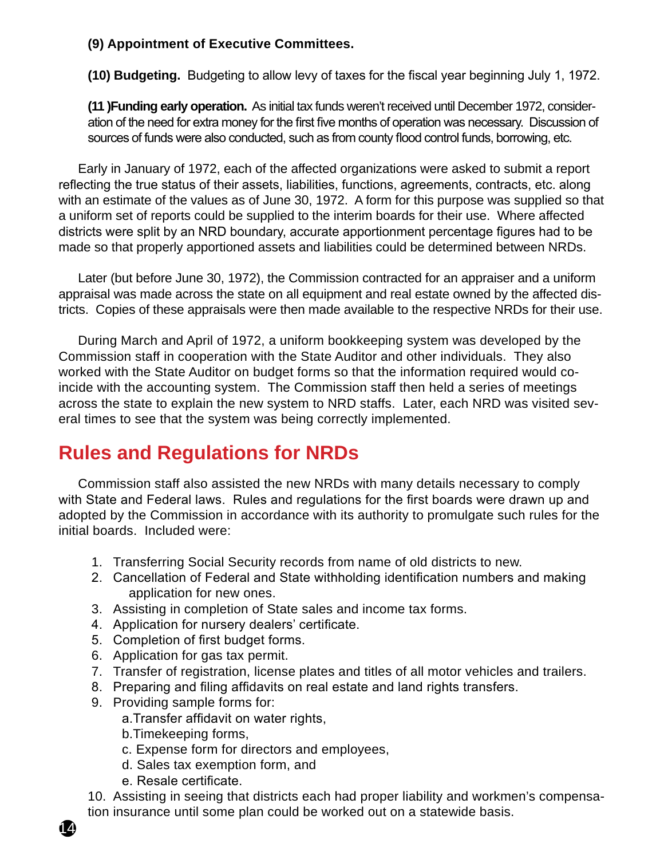#### **(9) Appointment of Executive Committees.**

**(10) Budgeting.** Budgeting to allow levy of taxes for the fiscal year beginning July 1, 1972.

**(11 )Funding early operation.** As initial tax funds weren't received until December 1972, consideration of the need for extra money for the first five months of operation was necessary. Discussion of sources of funds were also conducted, such as from county flood control funds, borrowing, etc.

Early in January of 1972, each of the affected organizations were asked to submit a report reflecting the true status of their assets, liabilities, functions, agreements, contracts, etc. along with an estimate of the values as of June 30, 1972. A form for this purpose was supplied so that a uniform set of reports could be supplied to the interim boards for their use. Where affected districts were split by an NRD boundary, accurate apportionment percentage figures had to be made so that properly apportioned assets and liabilities could be determined between NRDs.

Later (but before June 30, 1972), the Commission contracted for an appraiser and a uniform appraisal was made across the state on all equipment and real estate owned by the affected districts. Copies of these appraisals were then made available to the respective NRDs for their use.

During March and April of 1972, a uniform bookkeeping system was developed by the Commission staff in cooperation with the State Auditor and other individuals. They also worked with the State Auditor on budget forms so that the information required would coincide with the accounting system. The Commission staff then held a series of meetings across the state to explain the new system to NRD staffs. Later, each NRD was visited several times to see that the system was being correctly implemented.

### **Rules and Regulations for NRDs**

Commission staff also assisted the new NRDs with many details necessary to comply with State and Federal laws. Rules and regulations for the first boards were drawn up and adopted by the Commission in accordance with its authority to promulgate such rules for the initial boards. Included were:

- 1. Transferring Social Security records from name of old districts to new.
- 2. Cancellation of Federal and State withholding identification numbers and making application for new ones.
- 3. Assisting in completion of State sales and income tax forms.
- 4. Application for nursery dealers' certificate.
- 5. Completion of first budget forms.
- 6. Application for gas tax permit.
- 7. Transfer of registration, license plates and titles of all motor vehicles and trailers.
- 8. Preparing and filing affidavits on real estate and land rights transfers.
- 9. Providing sample forms for:
	- a.Transfer affidavit on water rights,
	- b.Timekeeping forms,
	- c. Expense form for directors and employees,
	- d. Sales tax exemption form, and
	- e. Resale certificate.

14

10. Assisting in seeing that districts each had proper liability and workmen's compensation insurance until some plan could be worked out on a statewide basis.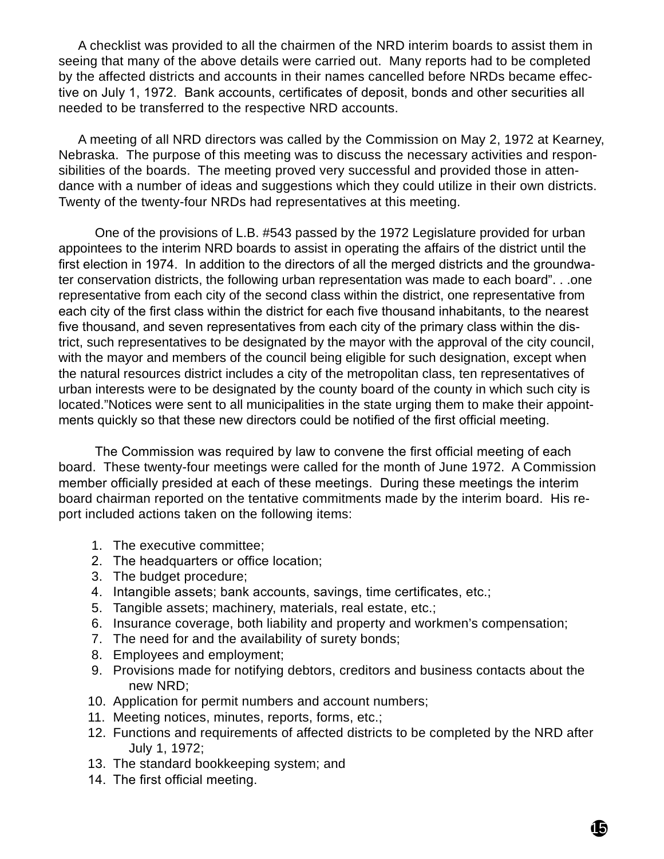A checklist was provided to all the chairmen of the NRD interim boards to assist them in seeing that many of the above details were carried out. Many reports had to be completed by the affected districts and accounts in their names cancelled before NRDs became effective on July 1, 1972. Bank accounts, certificates of deposit, bonds and other securities all needed to be transferred to the respective NRD accounts.

A meeting of all NRD directors was called by the Commission on May 2, 1972 at Kearney, Nebraska. The purpose of this meeting was to discuss the necessary activities and responsibilities of the boards. The meeting proved very successful and provided those in attendance with a number of ideas and suggestions which they could utilize in their own districts. Twenty of the twenty-four NRDs had representatives at this meeting.

One of the provisions of L.B. #543 passed by the 1972 Legislature provided for urban appointees to the interim NRD boards to assist in operating the affairs of the district until the first election in 1974. In addition to the directors of all the merged districts and the groundwater conservation districts, the following urban representation was made to each board". . .one representative from each city of the second class within the district, one representative from each city of the first class within the district for each five thousand inhabitants, to the nearest five thousand, and seven representatives from each city of the primary class within the district, such representatives to be designated by the mayor with the approval of the city council, with the mayor and members of the council being eligible for such designation, except when the natural resources district includes a city of the metropolitan class, ten representatives of urban interests were to be designated by the county board of the county in which such city is located."Notices were sent to all municipalities in the state urging them to make their appointments quickly so that these new directors could be notified of the first official meeting.

The Commission was required by law to convene the first official meeting of each board. These twenty-four meetings were called for the month of June 1972. A Commission member officially presided at each of these meetings. During these meetings the interim board chairman reported on the tentative commitments made by the interim board. His report included actions taken on the following items:

- 1. The executive committee;
- 2. The headquarters or office location;
- 3. The budget procedure;
- 4. Intangible assets; bank accounts, savings, time certificates, etc.;
- 5. Tangible assets; machinery, materials, real estate, etc.;
- 6. Insurance coverage, both liability and property and workmen's compensation;
- 7. The need for and the availability of surety bonds;
- 8. Employees and employment;
- 9. Provisions made for notifying debtors, creditors and business contacts about the new NRD;
- 10. Application for permit numbers and account numbers;
- 11. Meeting notices, minutes, reports, forms, etc.;
- 12. Functions and requirements of affected districts to be completed by the NRD after July 1, 1972;
- 13. The standard bookkeeping system; and
- 14. The first official meeting.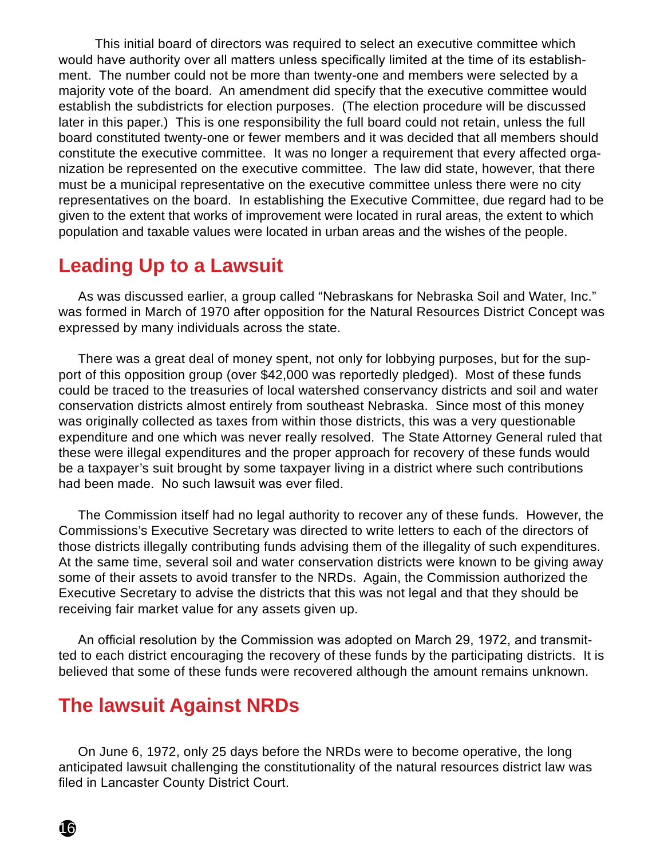This initial board of directors was required to select an executive committee which would have authority over all matters unless specifically limited at the time of its establishment. The number could not be more than twenty-one and members were selected by a majority vote of the board. An amendment did specify that the executive committee would establish the subdistricts for election purposes. (The election procedure will be discussed later in this paper.) This is one responsibility the full board could not retain, unless the full board constituted twenty-one or fewer members and it was decided that all members should constitute the executive committee. It was no longer a requirement that every affected organization be represented on the executive committee. The law did state, however, that there must be a municipal representative on the executive committee unless there were no city representatives on the board. In establishing the Executive Committee, due regard had to be given to the extent that works of improvement were located in rural areas, the extent to which population and taxable values were located in urban areas and the wishes of the people.

#### **Leading Up to a Lawsuit**

As was discussed earlier, a group called "Nebraskans for Nebraska Soil and Water, Inc." was formed in March of 1970 after opposition for the Natural Resources District Concept was expressed by many individuals across the state.

There was a great deal of money spent, not only for lobbying purposes, but for the support of this opposition group (over \$42,000 was reportedly pledged). Most of these funds could be traced to the treasuries of local watershed conservancy districts and soil and water conservation districts almost entirely from southeast Nebraska. Since most of this money was originally collected as taxes from within those districts, this was a very questionable expenditure and one which was never really resolved. The State Attorney General ruled that these were illegal expenditures and the proper approach for recovery of these funds would be a taxpayer's suit brought by some taxpayer living in a district where such contributions had been made. No such lawsuit was ever filed.

The Commission itself had no legal authority to recover any of these funds. However, the Commissions's Executive Secretary was directed to write letters to each of the directors of those districts illegally contributing funds advising them of the illegality of such expenditures. At the same time, several soil and water conservation districts were known to be giving away some of their assets to avoid transfer to the NRDs. Again, the Commission authorized the Executive Secretary to advise the districts that this was not legal and that they should be receiving fair market value for any assets given up.

An official resolution by the Commission was adopted on March 29, 1972, and transmitted to each district encouraging the recovery of these funds by the participating districts. It is believed that some of these funds were recovered although the amount remains unknown.

#### **The lawsuit Against NRDs**

On June 6, 1972, only 25 days before the NRDs were to become operative, the long anticipated lawsuit challenging the constitutionality of the natural resources district law was filed in Lancaster County District Court.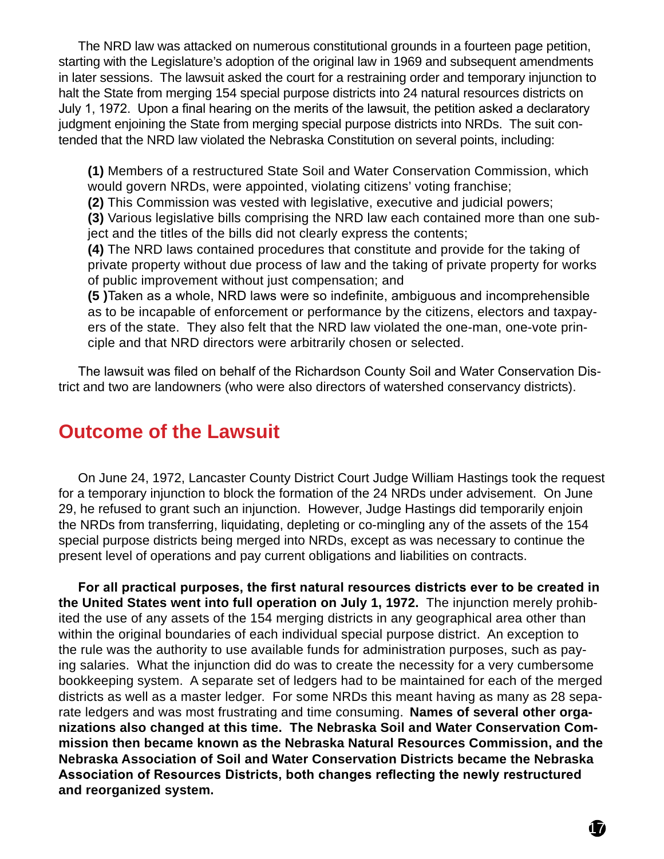The NRD law was attacked on numerous constitutional grounds in a fourteen page petition, starting with the Legislature's adoption of the original law in 1969 and subsequent amendments in later sessions. The lawsuit asked the court for a restraining order and temporary injunction to halt the State from merging 154 special purpose districts into 24 natural resources districts on July 1, 1972. Upon a final hearing on the merits of the lawsuit, the petition asked a declaratory judgment enjoining the State from merging special purpose districts into NRDs. The suit contended that the NRD law violated the Nebraska Constitution on several points, including:

**(1)** Members of a restructured State Soil and Water Conservation Commission, which would govern NRDs, were appointed, violating citizens' voting franchise;

**(2)** This Commission was vested with legislative, executive and judicial powers;

**(3)** Various legislative bills comprising the NRD law each contained more than one subject and the titles of the bills did not clearly express the contents;

**(4)** The NRD laws contained procedures that constitute and provide for the taking of private property without due process of law and the taking of private property for works of public improvement without just compensation; and

**(5 )**Taken as a whole, NRD laws were so indefinite, ambiguous and incomprehensible as to be incapable of enforcement or performance by the citizens, electors and taxpayers of the state. They also felt that the NRD law violated the one-man, one-vote principle and that NRD directors were arbitrarily chosen or selected.

The lawsuit was filed on behalf of the Richardson County Soil and Water Conservation District and two are landowners (who were also directors of watershed conservancy districts).

### **Outcome of the Lawsuit**

On June 24, 1972, Lancaster County District Court Judge William Hastings took the request for a temporary injunction to block the formation of the 24 NRDs under advisement. On June 29, he refused to grant such an injunction. However, Judge Hastings did temporarily enjoin the NRDs from transferring, liquidating, depleting or co-mingling any of the assets of the 154 special purpose districts being merged into NRDs, except as was necessary to continue the present level of operations and pay current obligations and liabilities on contracts.

**For all practical purposes, the first natural resources districts ever to be created in the United States went into full operation on July 1, 1972.** The injunction merely prohibited the use of any assets of the 154 merging districts in any geographical area other than within the original boundaries of each individual special purpose district. An exception to the rule was the authority to use available funds for administration purposes, such as paying salaries. What the injunction did do was to create the necessity for a very cumbersome bookkeeping system. A separate set of ledgers had to be maintained for each of the merged districts as well as a master ledger. For some NRDs this meant having as many as 28 separate ledgers and was most frustrating and time consuming. **Names of several other organizations also changed at this time. The Nebraska Soil and Water Conservation Commission then became known as the Nebraska Natural Resources Commission, and the Nebraska Association of Soil and Water Conservation Districts became the Nebraska Association of Resources Districts, both changes reflecting the newly restructured and reorganized system.**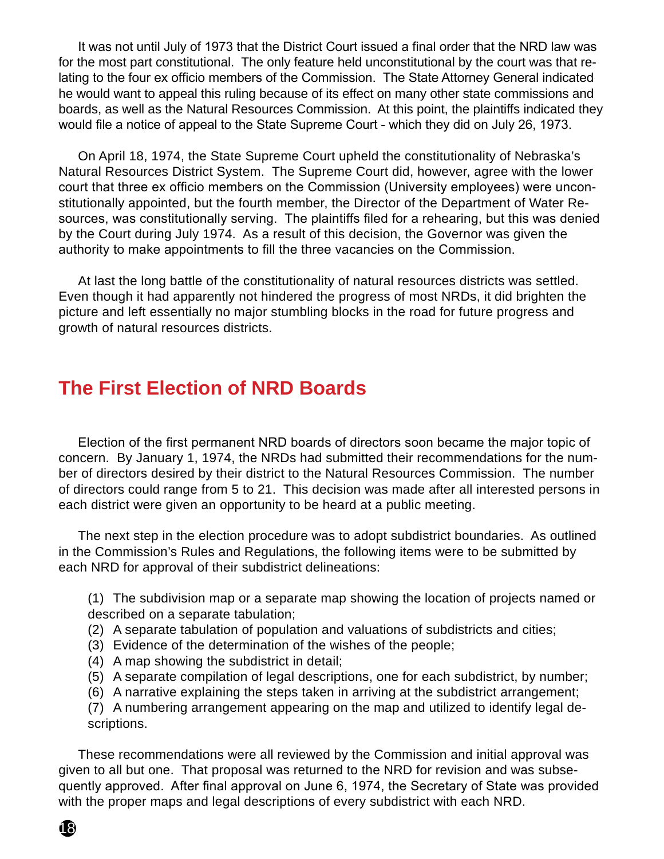It was not until July of 1973 that the District Court issued a final order that the NRD law was for the most part constitutional. The only feature held unconstitutional by the court was that relating to the four ex officio members of the Commission. The State Attorney General indicated he would want to appeal this ruling because of its effect on many other state commissions and boards, as well as the Natural Resources Commission. At this point, the plaintiffs indicated they would file a notice of appeal to the State Supreme Court - which they did on July 26, 1973.

On April 18, 1974, the State Supreme Court upheld the constitutionality of Nebraska's Natural Resources District System. The Supreme Court did, however, agree with the lower court that three ex officio members on the Commission (University employees) were unconstitutionally appointed, but the fourth member, the Director of the Department of Water Resources, was constitutionally serving. The plaintiffs filed for a rehearing, but this was denied by the Court during July 1974. As a result of this decision, the Governor was given the authority to make appointments to fill the three vacancies on the Commission.

At last the long battle of the constitutionality of natural resources districts was settled. Even though it had apparently not hindered the progress of most NRDs, it did brighten the picture and left essentially no major stumbling blocks in the road for future progress and growth of natural resources districts.

#### **The First Election of NRD Boards**

Election of the first permanent NRD boards of directors soon became the major topic of concern. By January 1, 1974, the NRDs had submitted their recommendations for the number of directors desired by their district to the Natural Resources Commission. The number of directors could range from 5 to 21. This decision was made after all interested persons in each district were given an opportunity to be heard at a public meeting.

The next step in the election procedure was to adopt subdistrict boundaries. As outlined in the Commission's Rules and Regulations, the following items were to be submitted by each NRD for approval of their subdistrict delineations:

(1) The subdivision map or a separate map showing the location of projects named or described on a separate tabulation;

- (2) A separate tabulation of population and valuations of subdistricts and cities;
- (3) Evidence of the determination of the wishes of the people;
- (4) A map showing the subdistrict in detail;
- (5) A separate compilation of legal descriptions, one for each subdistrict, by number;
- (6) A narrative explaining the steps taken in arriving at the subdistrict arrangement;

(7) A numbering arrangement appearing on the map and utilized to identify legal descriptions.

These recommendations were all reviewed by the Commission and initial approval was given to all but one. That proposal was returned to the NRD for revision and was subsequently approved. After final approval on June 6, 1974, the Secretary of State was provided with the proper maps and legal descriptions of every subdistrict with each NRD.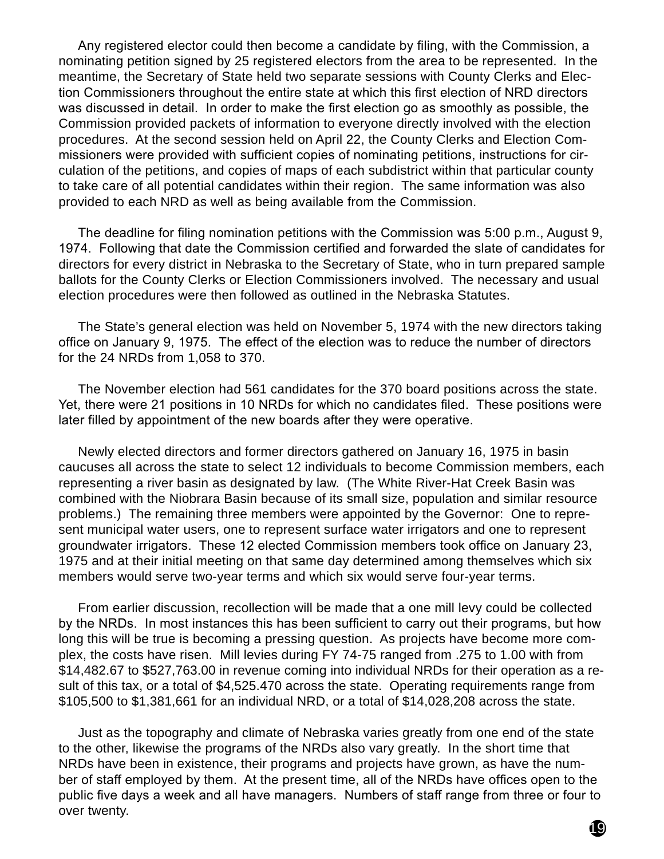Any registered elector could then become a candidate by filing, with the Commission, a nominating petition signed by 25 registered electors from the area to be represented. In the meantime, the Secretary of State held two separate sessions with County Clerks and Election Commissioners throughout the entire state at which this first election of NRD directors was discussed in detail. In order to make the first election go as smoothly as possible, the Commission provided packets of information to everyone directly involved with the election procedures. At the second session held on April 22, the County Clerks and Election Commissioners were provided with sufficient copies of nominating petitions, instructions for circulation of the petitions, and copies of maps of each subdistrict within that particular county to take care of all potential candidates within their region. The same information was also provided to each NRD as well as being available from the Commission.

The deadline for filing nomination petitions with the Commission was 5:00 p.m., August 9, 1974. Following that date the Commission certified and forwarded the slate of candidates for directors for every district in Nebraska to the Secretary of State, who in turn prepared sample ballots for the County Clerks or Election Commissioners involved. The necessary and usual election procedures were then followed as outlined in the Nebraska Statutes.

The State's general election was held on November 5, 1974 with the new directors taking office on January 9, 1975. The effect of the election was to reduce the number of directors for the 24 NRDs from 1,058 to 370.

The November election had 561 candidates for the 370 board positions across the state. Yet, there were 21 positions in 10 NRDs for which no candidates filed. These positions were later filled by appointment of the new boards after they were operative.

Newly elected directors and former directors gathered on January 16, 1975 in basin caucuses all across the state to select 12 individuals to become Commission members, each representing a river basin as designated by law. (The White River-Hat Creek Basin was combined with the Niobrara Basin because of its small size, population and similar resource problems.) The remaining three members were appointed by the Governor: One to represent municipal water users, one to represent surface water irrigators and one to represent groundwater irrigators. These 12 elected Commission members took office on January 23, 1975 and at their initial meeting on that same day determined among themselves which six members would serve two-year terms and which six would serve four-year terms.

From earlier discussion, recollection will be made that a one mill levy could be collected by the NRDs. In most instances this has been sufficient to carry out their programs, but how long this will be true is becoming a pressing question. As projects have become more complex, the costs have risen. Mill levies during FY 74-75 ranged from .275 to 1.00 with from \$14,482.67 to \$527,763.00 in revenue coming into individual NRDs for their operation as a result of this tax, or a total of \$4,525.470 across the state. Operating requirements range from \$105,500 to \$1,381,661 for an individual NRD, or a total of \$14,028,208 across the state.

Just as the topography and climate of Nebraska varies greatly from one end of the state to the other, likewise the programs of the NRDs also vary greatly. In the short time that NRDs have been in existence, their programs and projects have grown, as have the number of staff employed by them. At the present time, all of the NRDs have offices open to the public five days a week and all have managers. Numbers of staff range from three or four to over twenty.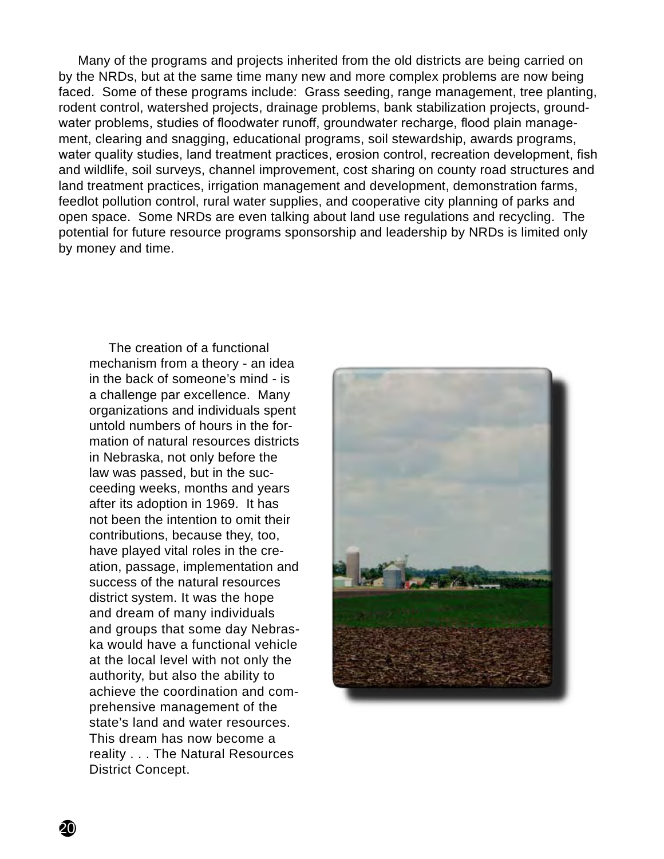Many of the programs and projects inherited from the old districts are being carried on by the NRDs, but at the same time many new and more complex problems are now being faced. Some of these programs include: Grass seeding, range management, tree planting, rodent control, watershed projects, drainage problems, bank stabilization projects, groundwater problems, studies of floodwater runoff, groundwater recharge, flood plain management, clearing and snagging, educational programs, soil stewardship, awards programs, water quality studies, land treatment practices, erosion control, recreation development, fish and wildlife, soil surveys, channel improvement, cost sharing on county road structures and land treatment practices, irrigation management and development, demonstration farms, feedlot pollution control, rural water supplies, and cooperative city planning of parks and open space. Some NRDs are even talking about land use regulations and recycling. The potential for future resource programs sponsorship and leadership by NRDs is limited only by money and time.

The creation of a functional mechanism from a theory - an idea in the back of someone's mind - is a challenge par excellence. Many organizations and individuals spent untold numbers of hours in the formation of natural resources districts in Nebraska, not only before the law was passed, but in the succeeding weeks, months and years after its adoption in 1969. It has not been the intention to omit their contributions, because they, too, have played vital roles in the creation, passage, implementation and success of the natural resources district system. It was the hope and dream of many individuals and groups that some day Nebraska would have a functional vehicle at the local level with not only the authority, but also the ability to achieve the coordination and comprehensive management of the state's land and water resources. This dream has now become a reality . . . The Natural Resources District Concept.